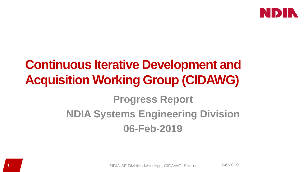

# **Continuous Iterative Development and Acquisition Working Group (CIDAWG)**

# **Progress Report NDIA Systems Engineering Division 06-Feb-2019**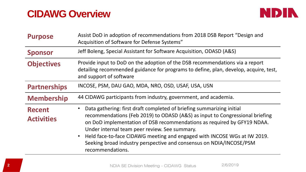# **CIDAWG Overview**



| <b>Purpose</b>                     | Assist DoD in adoption of recommendations from 2018 DSB Report "Design and<br>Acquisition of Software for Defense Systems"                                                                                                                                                                                                                                                                                                                                                         |
|------------------------------------|------------------------------------------------------------------------------------------------------------------------------------------------------------------------------------------------------------------------------------------------------------------------------------------------------------------------------------------------------------------------------------------------------------------------------------------------------------------------------------|
| <b>Sponsor</b>                     | Jeff Boleng, Special Assistant for Software Acquisition, ODASD (A&S)                                                                                                                                                                                                                                                                                                                                                                                                               |
| <b>Objectives</b>                  | Provide input to DoD on the adoption of the DSB recommendations via a report<br>detailing recommended guidance for programs to define, plan, develop, acquire, test,<br>and support of software                                                                                                                                                                                                                                                                                    |
| <b>Partnerships</b>                | INCOSE, PSM, DAU GAO, MDA, NRO, OSD, USAF, USA, USN                                                                                                                                                                                                                                                                                                                                                                                                                                |
| <b>Membership</b>                  | 44 CIDAWG participants from industry, government, and academia.                                                                                                                                                                                                                                                                                                                                                                                                                    |
| <b>Recent</b><br><b>Activities</b> | Data gathering: first draft completed of briefing summarizing initial<br>$\bullet$<br>recommendations (Feb 2019) to ODASD (A&S) as input to Congressional briefing<br>on DoD implementation of DSB recommendations as required by GFY19 NDAA.<br>Under internal team peer review. See summary.<br>Held face-to-face CIDAWG meeting and engaged with INCOSE WGs at IW 2019.<br>$\bullet$<br>Seeking broad industry perspective and consensus on NDIA/INCOSE/PSM<br>recommendations. |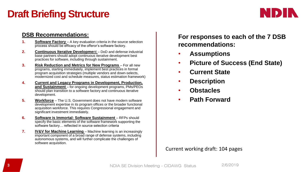# **Draft Briefing Structure**



### **DSB Recommendations:**

- **1. Software Factory** A key evaluation criteria in the source selection process should be efficacy of the offeror's software factory.
- **2. Continuous Iterative Developme**nt DoD and defense industrial base partners should adopt continuous iterative development best practices for software, including through sustainment.
- **3. Risk Reduction and Metrics for New Programs**  For all new programs, starting immediately, implement best practices in formal program acquisition strategies (multiple vendors and down-selects, modernized cost and schedule measures, status estimation framework)
- **4. Current and Legacy Programs in Development, Production, and Sustainment** – for ongoing development programs, PMs/PEOs should plan transition to a software factory and continuous iterative development.
- **5. Workforce** The U.S. Government does not have modern software development expertise in its program offices or the broader functional acquisition workforce. This requires Congressional engagement and significant investment immediately.
- **6.** Software is Immortal: Software Sustainment RFPs should specify the basic elements of the software framework supporting the software factory… reflected in source selection criteria
- **7. IV&V for Machine Learning**  Machine learning is an increasingly important component of a broad range of defense systems, including autonomous systems, and will further complicate the challenges of software acquisition.

**For responses to each of the 7 DSB recommendations:**

- **Assumptions**
- **Picture of Success (End State)**
- **Current State**
- **Description**
- **Obstacles**
- **Path Forward**

#### Current working draft: 104 pages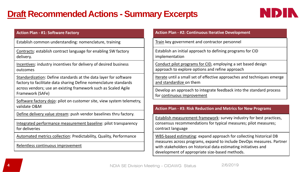## **Draft Recommended Actions - Summary Excerpts**



#### **Action Plan - #1: Software Factory**

Establish common understanding: nomenclature, training

Contracts: establish contract language for enabling SW factory delivery.

Incentives: industry incentives for delivery of desired business outcomes

Standardization: Define standards at the data layer for software factory to facilitate data sharing Define nomenclature standards across vendors; use an existing framework such as Scaled Agile Framework (SAFe)

Software factory dojo: pilot on customer site, view system telemetry, validate O&M

Define delivery value stream: push vendor baselines thru factory.

Integrated performance measurement baseline: pilot transparency for deliveries

Automated metrics collection: Predictability, Quality, Performance

Relentless continuous improvement

#### **Action Plan - #2: Continuous Iterative Development**

Train key government and contractor personnel

Establish an initial approach to defining programs for CID implementation

Conduct pilot programs for CID, employing a set based design approach to explore options and refine approach

Iterate until a small set of effective approaches and techniques emerge and standardize on them

Develop an approach to integrate feedback into the standard process for continuous improvement

#### **Action Plan - #3: Risk Reduction and Metrics for New Programs**

Establish measurement framework: survey industry for best practices, consensus recommendations for typical measures; pilot measures; contract language

WBS-based estimating: expand approach for collecting historical DB measures across programs, expand to include DevOps measures. Partner with stakeholders on historical data estimating initiatives and development of appropriate size-based methods.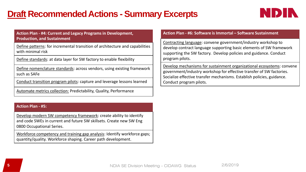### **Draft Recommended Actions - Summary Excerpts**



#### **Action Plan - #4: Current and Legacy Programs in Development, Production, and Sustainment**

Define patterns: for incremental transition of architecture and capabilities with minimal risk

Define standards: at data layer for SW factory to enable flexibility

Define nomenclature standards: across vendors, using existing framework such as SAFe

Conduct transition program pilots: capture and leverage lessons learned

Automate metrics collection: Predictability, Quality, Performance

#### **Action Plan - #5:**

Develop modern SW competency framework: create ability to identify and code SWEs in current and future SW skillsets. Create new SW Eng 0800 Occupational Series.

Workforce competency and training gap analysis: Identify workforce gaps; quantity/quality. Workforce shaping. Career path development.

#### **Action Plan - #6: Software is Immortal – Software Sustainment**

Contracting language: convene government/industry workshop to develop contract language supporting basic elements of SW framework supporting the SW factory. Develop policies and guidance. Conduct program pilots.

Develop mechanisms for sustainment organizational ecosystems: convene government/industry workshop for effective transfer of SW factories. Socialize effective transfer mechanisms. Establish policies, guidance. Conduct program pilots.